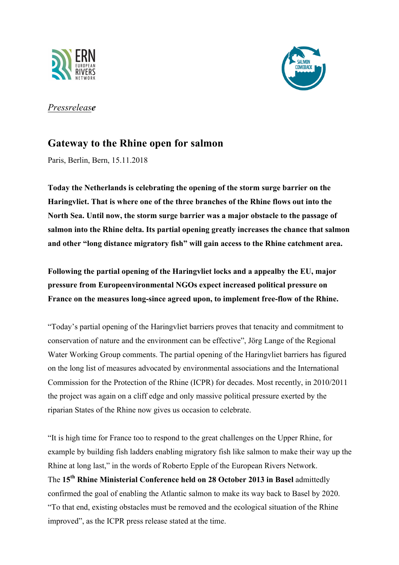



## *Pressrelease*

## **Gateway to the Rhine open for salmon**

Paris, Berlin, Bern, 15.11.2018

**Today the Netherlands is celebrating the opening of the storm surge barrier on the Haringvliet. That is where one of the three branches of the Rhine flows out into the North Sea. Until now, the storm surge barrier was a major obstacle to the passage of salmon into the Rhine delta. Its partial opening greatly increases the chance that salmon and other "long distance migratory fish" will gain access to the Rhine catchment area.**

**Following the partial opening of the Haringvliet locks and a appealby the EU, major pressure from Europeenvironmental NGOs expect increased political pressure on France on the measures long-since agreed upon, to implement free-flow of the Rhine.**

"Today's partial opening of the Haringvliet barriers proves that tenacity and commitment to conservation of nature and the environment can be effective", Jörg Lange of the Regional Water Working Group comments. The partial opening of the Haringvliet barriers has figured on the long list of measures advocated by environmental associations and the International Commission for the Protection of the Rhine (ICPR) for decades. Most recently, in 2010/2011 the project was again on a cliff edge and only massive political pressure exerted by the riparian States of the Rhine now gives us occasion to celebrate.

"It is high time for France too to respond to the great challenges on the Upper Rhine, for example by building fish ladders enabling migratory fish like salmon to make their way up the Rhine at long last," in the words of Roberto Epple of the European Rivers Network. The **15th Rhine Ministerial Conference held on 28 October 2013 in Basel** admittedly confirmed the goal of enabling the Atlantic salmon to make its way back to Basel by 2020. "To that end, existing obstacles must be removed and the ecological situation of the Rhine improved", as the ICPR press release stated at the time.